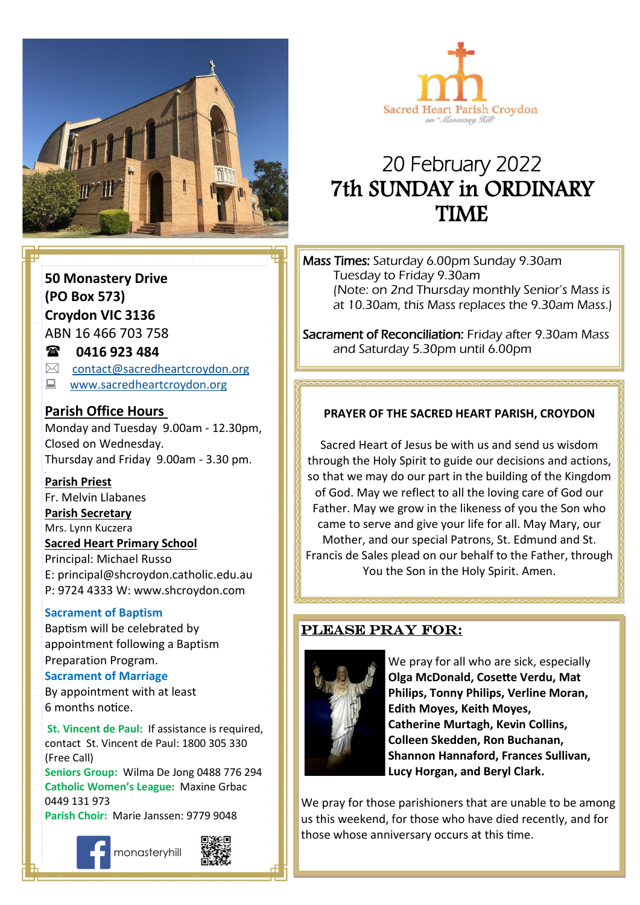



# 20 February 2022 7th SUNDAY in ORDINARY TIME

Mass Times: Saturday 6.00pm Sunday 9.30am Tuesday to Friday 9.30am (Note: on 2nd Thursday monthly Senior's Mass is at 10.30am, this Mass replaces the 9.30am Mass.)

Sacrament of Reconciliation: Friday after 9.30am Mass and Saturday 5.30pm until 6.00pm

### **Come, follow me. PRAYER OF THE SACRED HEART PARISH, CROYDON**

Sacred Heart of Jesus be with us and send us wisdom through the Holy Spirit to guide our decisions and actions, so that we may do our part in the building of the Kingdom of God. May we reflect to all the loving care of God our Father. May we grow in the likeness of you the Son who came to serve and give your life for all. May Mary, our Mother, and our special Patrons, St. Edmund and St. Francis de Sales plead on our behalf to the Father, through You the Son in the Holy Spirit. Amen.

### PLEASE PRAY FOR:



We pray for all who are sick, especially **Olga McDonald, Cosette Verdu, Mat Philips, Tonny Philips, Verline Moran, Edith Moyes, Keith Moyes, Catherine Murtagh, Kevin Collins, Colleen Skedden, Ron Buchanan, Shannon Hannaford, Frances Sullivan, Lucy Horgan, and Beryl Clark.** 

We pray for those parishioners that are unable to be among us this weekend, for those who have died recently, and for those whose anniversary occurs at this time.

**50 Monastery Drive (PO Box 573) Croydon VIC 3136** ABN 16 466 703 758

### **0416 923 484**

- $\boxtimes$  [contact@sacredheartcroydon.org](mailto:contact@sacredheartcroydon.org)
- **WWW.sacredheartcroydon.org**

### **Parish Office Hours**

Monday and Tuesday 9.00am - 12.30pm, Closed on Wednesday. Thursday and Friday 9.00am - 3.30 pm.

#### **Parish Priest**

Fr. Melvin Llabanes

#### **Parish Secretary**

Mrs. Lynn Kuczera

#### **Sacred Heart Primary School**

Principal: Michael Russo E: principal@shcroydon.catholic.edu.au P: 9724 4333 W: www.shcroydon.com

#### **Sacrament of Baptism**

Baptism will be celebrated by appointment following a Baptism Preparation Program.

#### **Sacrament of Marriage**

By appointment with at least 6 months notice.

**St. Vincent de Paul: If assistance is required.** contact St. Vincent de Paul: 1800 305 330 (Free Call)

**Seniors Group:** Wilma De Jong 0488 776 294 **Catholic Women's League:** Maxine Grbac 0449 131 973 **Parish Choir:** Marie Janssen: 9779 9048